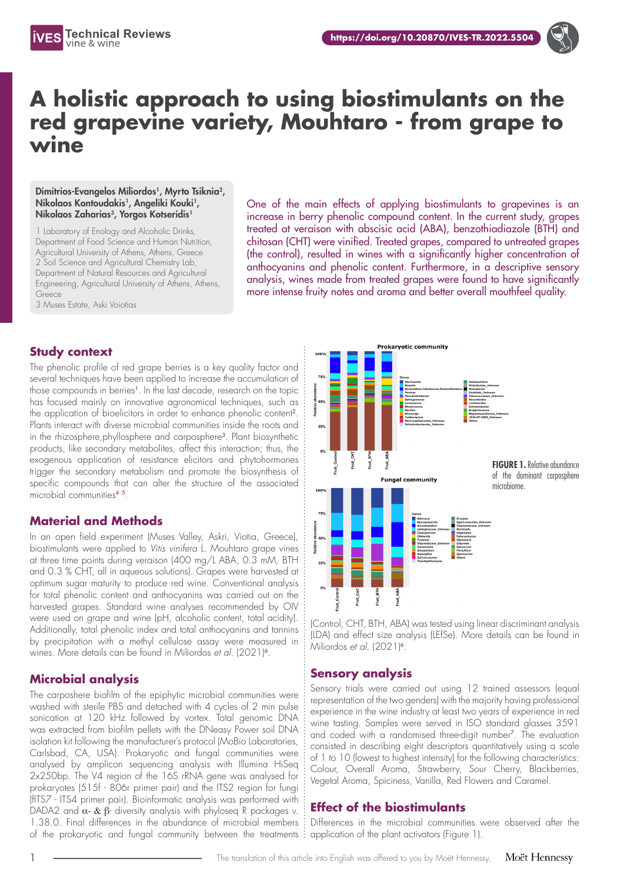



# **A holistic approach to using biostimulants on the red grapevine variety, Mouhtaro - from grape to wine**

#### Dimitrios-Evangelos Miliordos<sup>1</sup>, Myrto Tsiknia<sup>2</sup>, Nikolaos Kontoudakis<sup>1</sup>, Angeliki Kouki<sup>1</sup>, Nikolaos Zaharias<sup>3</sup>, Yorgos Kotseridis<sup>1</sup>

1 Laboratory of Enology and Alcoholic Drinks, Department of Food Science and Human Nutrition, Agricultural University of Athens, Athens, Greece 2 Soil Science and Agricultural Chemistry Lab, Department of Natural Resources and Agricultural Engineering, Agricultural University of Athens, Athens, Greece 3 Muses Estate, Aski Voiotias

One of the main effects of applying biostimulants to grapevines is an increase in berry phenolic compound content. In the current study, grapes treated at veraison with abscisic acid (ABA), benzothiadiazole (BTH) and chitosan (CHT) were vinified. Treated grapes, compared to untreated grapes (the control), resulted in wines with a significantly higher concentration of anthocyanins and phenolic content. Furthermore, in a descriptive sensory analysis, wines made from treated grapes were found to have significantly more intense fruity notes and aroma and better overall mouthfeel quality.

### **Study context**

The phenolic profile of red grape berries is a key quality factor and several techniques have been applied to increase the accumulation of those compounds in berries<sup>1</sup>. In the last decade, research on the topic has focused mainly on innovative agronomical techniques, such as the application of bioelicitors in order to enhance phenolic content<sup>2</sup>. Plants interact with diverse microbial communities inside the roots and in the rhizosphere, phyllosphere and carposphere<sup>3</sup>. Plant biosynthetic products, like secondary metabolites, affect this interaction; thus, the exogenous application of resistance elicitors and phytohormones trigger the secondary metabolism and promote the biosynthesis of specific compounds that can alter the structure of the associated microbial communities<sup>4</sup> <sup>5</sup>.

#### **Material and Methods**

In an open field experiment (Muses Valley, Askri, Viotia, Greece), biostimulants were applied to *Vitis vinifera* L. Mouhtaro grape vines at three time points during veraison (400 mg/L ABA, 0.3 mM, BTH and 0.3 % CHT, all in aqueous solutions). Grapes were harvested at optimum sugar maturity to produce red wine. Conventional analysis for total phenolic content and anthocyanins was carried out on the harvested grapes. Standard wine analyses recommended by OIV were used on grape and wine (pH, alcoholic content, total acidity). Additionally, total phenolic index and total anthocyanins and tannins by precipitation with a methyl cellulose assay were measured in wines. More details can be found in Miliordos *et al.* (2021)<sup>6</sup>.

### **Microbial analysis**

The carposhere biofilm of the epiphytic microbial communities were washed with sterile PBS and detached with 4 cycles of 2 min pulse sonication at 120 kHz followed by vortex. Total genomic DNA was extracted from biofilm pellets with the DNeasy Power soil DNA isolation kit following the manufacturer's protocol (MoBio Laboratories, Carlsbad, CA, USA). Prokaryotic and fungal communities were analysed by amplicon sequencing analysis with Illumina HiSeq 2x250bp. The V4 region of the 16S rRNA gene was analysed for prokaryotes (515f - 806r primer pair) and the ITS2 region for fungi (fITS7 - ITS4 primer pair). Bioinformatic analysis was performed with DADA2 and  $\alpha$ - &  $\beta$ - diversity analysis with phyloseq R packages v. 1.38.0. Final differences in the abundance of microbial members of the prokaryotic and fungal community between the treatments



(Control, CHT, BTH, ABA) was tested using linear discriminant analysis (LDA) and effect size analysis (LEfSe). More details can be found in Miliordos et al. (2021)<sup>6</sup>.

### **Sensory analysis**

Sensory trials were carried out using 12 trained assessors (equal representation of the two genders) with the majority having professional experience in the wine industry at least two years of experience in red wine tasting. Samples were served in ISO standard glasses 3591 and coded with a randomised three-digit number<sup>7</sup>. The evaluation consisted in describing eight descriptors quantitatively using a scale of 1 to 10 (lowest to highest intensity) for the following characteristics: Colour, Overall Aroma, Strawberry, Sour Cherry, Blackberries, Vegetal Aroma, Spiciness, Vanilla, Red Flowers and Caramel.

### **Effect of the biostimulants**

Differences in the microbial communities were observed after the application of the plant activators (Figure 1).